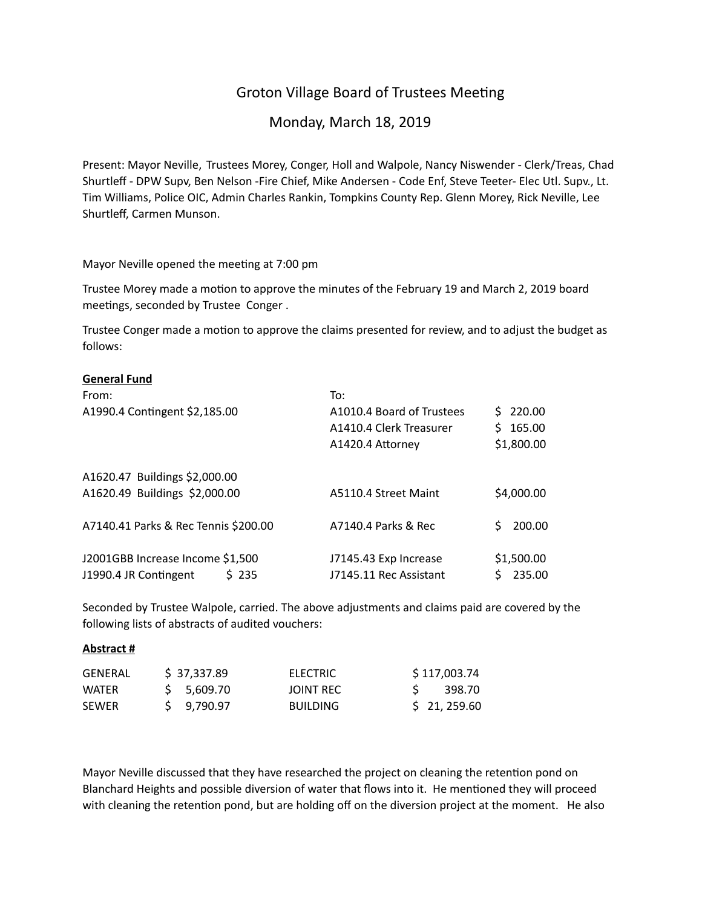## Groton Village Board of Trustees Meeting

## Monday, March 18, 2019

Present: Mayor Neville, Trustees Morey, Conger, Holl and Walpole, Nancy Niswender - Clerk/Treas, Chad Shurtleff - DPW Supv, Ben Nelson -Fire Chief, Mike Andersen - Code Enf, Steve Teeter- Elec Utl. Supv., Lt. Tim Williams, Police OIC, Admin Charles Rankin, Tompkins County Rep. Glenn Morey, Rick Neville, Lee Shurtleff, Carmen Munson.

Mayor Neville opened the meeting at 7:00 pm

Trustee Morey made a motion to approve the minutes of the February 19 and March 2, 2019 board meetings, seconded by Trustee Conger.

Trustee Conger made a motion to approve the claims presented for review, and to adjust the budget as follows:

#### **General Fund**

| From:                                | To:                       |              |
|--------------------------------------|---------------------------|--------------|
| A1990.4 Contingent \$2,185.00        | A1010.4 Board of Trustees | \$220.00     |
|                                      | A1410.4 Clerk Treasurer   | 165.00<br>S. |
|                                      | A1420.4 Attorney          | \$1,800.00   |
| A1620.47 Buildings \$2,000.00        |                           |              |
| A1620.49 Buildings \$2,000.00        | A5110.4 Street Maint      | \$4,000.00   |
| A7140.41 Parks & Rec Tennis \$200.00 | A7140.4 Parks & Rec       | 200.00       |
| J2001GBB Increase Income \$1,500     | J7145.43 Exp Increase     | \$1,500.00   |
| J1990.4 JR Contingent<br>\$235       | J7145.11 Rec Assistant    | 235.00       |

Seconded by Trustee Walpole, carried. The above adjustments and claims paid are covered by the following lists of abstracts of audited vouchers:

#### **Abstract #**

| GENERAL | \$37,337.89 | <b>ELECTRIC</b> | \$117,003.74 |
|---------|-------------|-----------------|--------------|
| WATFR   | \$ 5.609.70 | JOINT REC       | - 398.70     |
| SEWER   | S 9.790.97  | <b>BUILDING</b> | \$21, 259.60 |

Mayor Neville discussed that they have researched the project on cleaning the retention pond on Blanchard Heights and possible diversion of water that flows into it. He mentioned they will proceed with cleaning the retention pond, but are holding off on the diversion project at the moment. He also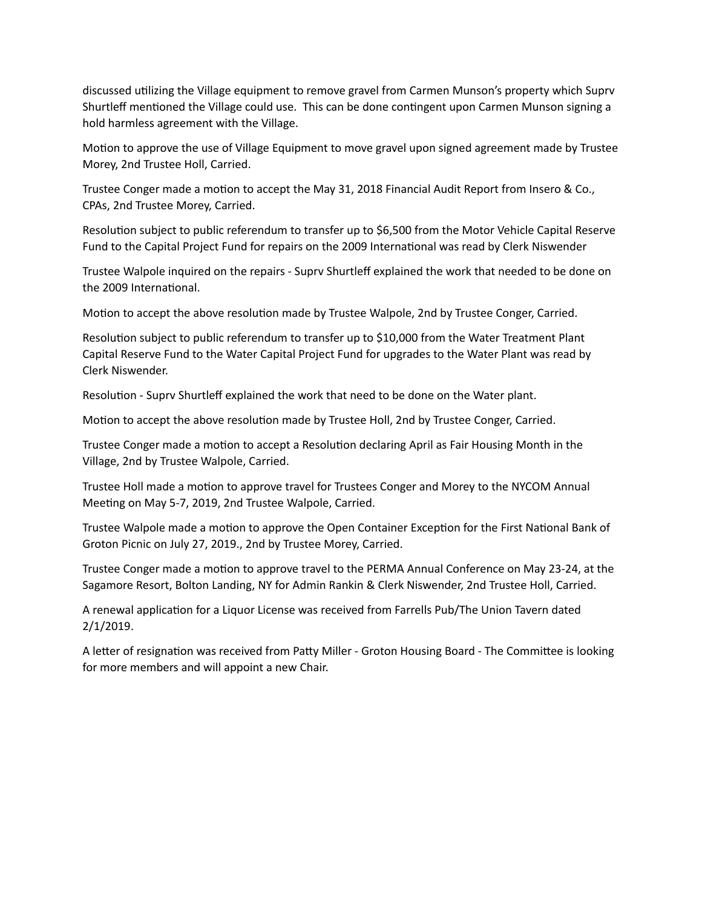discussed utilizing the Village equipment to remove gravel from Carmen Munson's property which Suprv Shurtleff mentioned the Village could use. This can be done contingent upon Carmen Munson signing a hold harmless agreement with the Village.

Motion to approve the use of Village Equipment to move gravel upon signed agreement made by Trustee Morey, 2nd Trustee Holl, Carried.

Trustee Conger made a motion to accept the May 31, 2018 Financial Audit Report from Insero & Co., CPAs, 2nd Trustee Morey, Carried.

Resolution subject to public referendum to transfer up to \$6,500 from the Motor Vehicle Capital Reserve Fund to the Capital Project Fund for repairs on the 2009 International was read by Clerk Niswender

Trustee Walpole inquired on the repairs - Suprv Shurtleff explained the work that needed to be done on the 2009 International.

Motion to accept the above resolution made by Trustee Walpole, 2nd by Trustee Conger, Carried.

Resolution subject to public referendum to transfer up to \$10,000 from the Water Treatment Plant Capital Reserve Fund to the Water Capital Project Fund for upgrades to the Water Plant was read by Clerk Niswender.

Resolution - Suprv Shurtleff explained the work that need to be done on the Water plant.

Motion to accept the above resolution made by Trustee Holl, 2nd by Trustee Conger, Carried.

Trustee Conger made a motion to accept a Resolution declaring April as Fair Housing Month in the Village, 2nd by Trustee Walpole, Carried.

Trustee Holl made a motion to approve travel for Trustees Conger and Morey to the NYCOM Annual Meeting on May 5-7, 2019, 2nd Trustee Walpole, Carried.

Trustee Walpole made a motion to approve the Open Container Exception for the First National Bank of Groton Picnic on July 27, 2019., 2nd by Trustee Morey, Carried.

Trustee Conger made a motion to approve travel to the PERMA Annual Conference on May 23-24, at the Sagamore Resort, Bolton Landing, NY for Admin Rankin & Clerk Niswender, 2nd Trustee Holl, Carried.

A renewal application for a Liquor License was received from Farrells Pub/The Union Tavern dated 2/1/2019.

A letter of resignation was received from Patty Miller - Groton Housing Board - The Committee is looking for more members and will appoint a new Chair.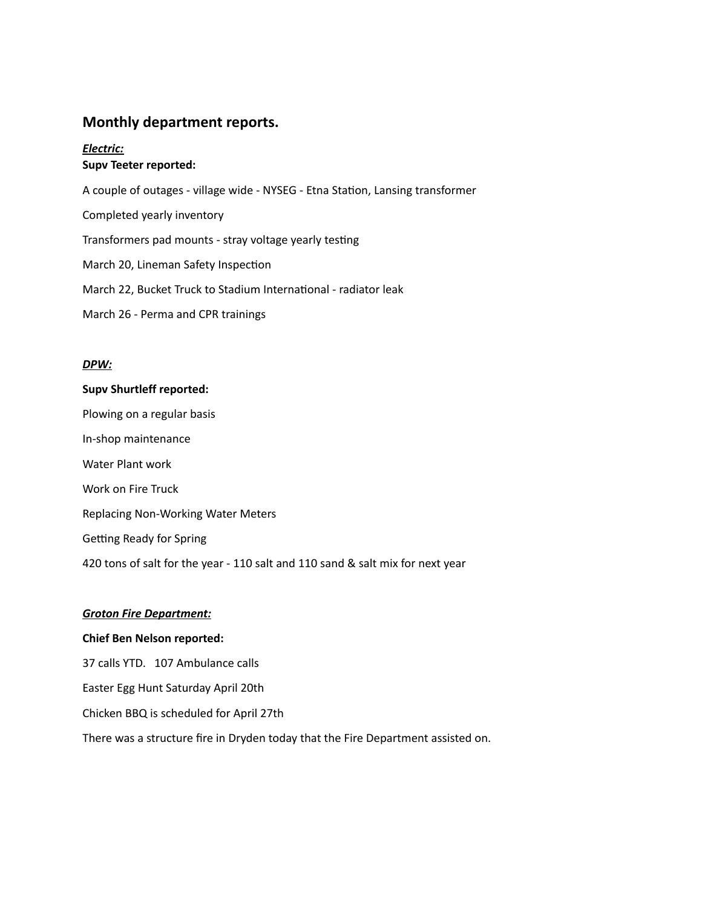## **Monthly department reports.**

### *Electric:* **Supv Teeter reported:**

A couple of outages - village wide - NYSEG - Etna Station, Lansing transformer Completed yearly inventory Transformers pad mounts - stray voltage yearly testing March 20, Lineman Safety Inspection March 22, Bucket Truck to Stadium International - radiator leak March 26 - Perma and CPR trainings

#### *DPW:*

# **Supv Shurtleff reported:**

Plowing on a regular basis In-shop maintenance Water Plant work Work on Fire Truck Replacing Non-Working Water Meters Getting Ready for Spring 420 tons of salt for the year - 110 salt and 110 sand & salt mix for next year

#### *Groton Fire Department:*

### **Chief Ben Nelson reported:**

37 calls YTD. 107 Ambulance calls Easter Egg Hunt Saturday April 20th Chicken BBQ is scheduled for April 27th There was a structure fire in Dryden today that the Fire Department assisted on.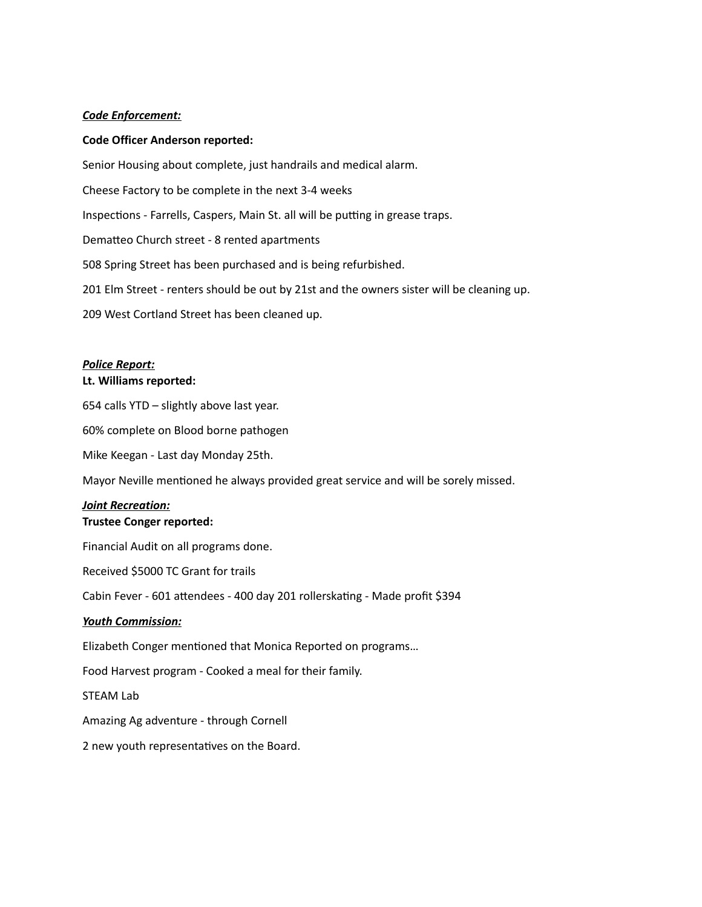#### *Code Enforcement:*

#### **Code Officer Anderson reported:**

Senior Housing about complete, just handrails and medical alarm. Cheese Factory to be complete in the next 3-4 weeks Inspections - Farrells, Caspers, Main St. all will be putting in grease traps. Dematteo Church street - 8 rented apartments 508 Spring Street has been purchased and is being refurbished. 201 Elm Street - renters should be out by 21st and the owners sister will be cleaning up.

209 West Cortland Street has been cleaned up.

#### *Police Report:*

#### **Lt. Williams reported:**

654 calls YTD – slightly above last year.

60% complete on Blood borne pathogen

Mike Keegan - Last day Monday 25th.

Mayor Neville mentioned he always provided great service and will be sorely missed.

## *Joint Recreation:*

## **Trustee Conger reported:**

Financial Audit on all programs done.

Received \$5000 TC Grant for trails

Cabin Fever - 601 attendees - 400 day 201 rollerskating - Made profit \$394

#### *Youth Commission:*

Elizabeth Conger mentioned that Monica Reported on programs...

Food Harvest program - Cooked a meal for their family.

STEAM Lab

Amazing Ag adventure - through Cornell

2 new youth representatives on the Board.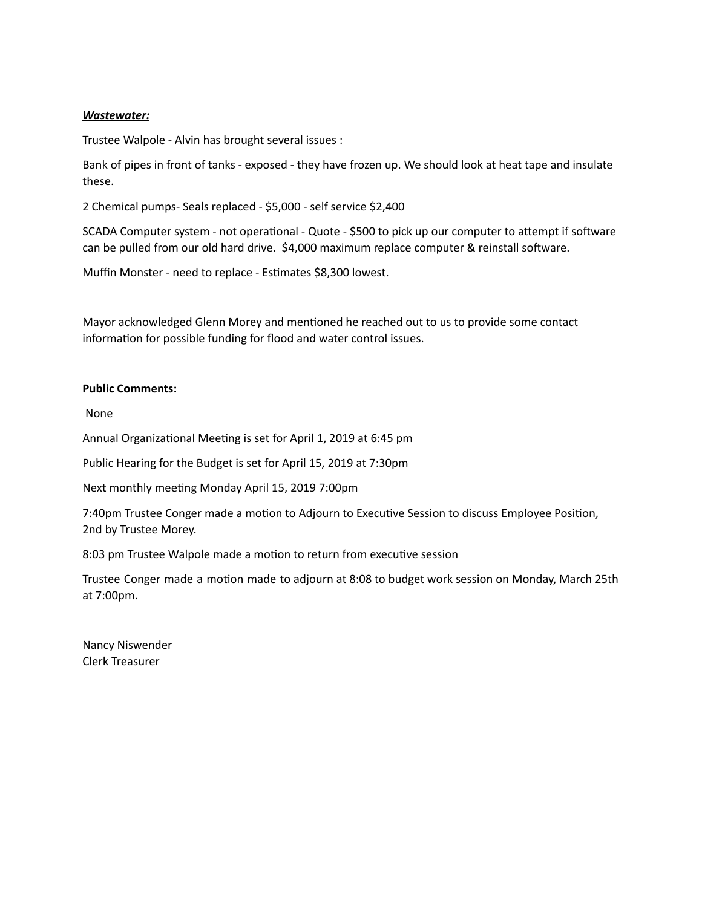#### *Wastewater:*

Trustee Walpole - Alvin has brought several issues :

Bank of pipes in front of tanks - exposed - they have frozen up. We should look at heat tape and insulate these.

2 Chemical pumps- Seals replaced - \$5,000 - self service \$2,400

SCADA Computer system - not operational - Quote - \$500 to pick up our computer to attempt if software can be pulled from our old hard drive. \$4,000 maximum replace computer & reinstall software.

Muffin Monster - need to replace - Estimates \$8,300 lowest.

Mayor acknowledged Glenn Morey and mentioned he reached out to us to provide some contact information for possible funding for flood and water control issues.

#### **Public Comments:**

None

Annual Organizational Meeting is set for April 1, 2019 at 6:45 pm

Public Hearing for the Budget is set for April 15, 2019 at 7:30pm

Next monthly meeting Monday April 15, 2019 7:00pm

7:40pm Trustee Conger made a motion to Adjourn to Executive Session to discuss Employee Position, 2nd by Trustee Morey.

8:03 pm Trustee Walpole made a motion to return from executive session

Trustee Conger made a motion made to adjourn at 8:08 to budget work session on Monday, March 25th at 7:00pm.

Nancy Niswender Clerk Treasurer